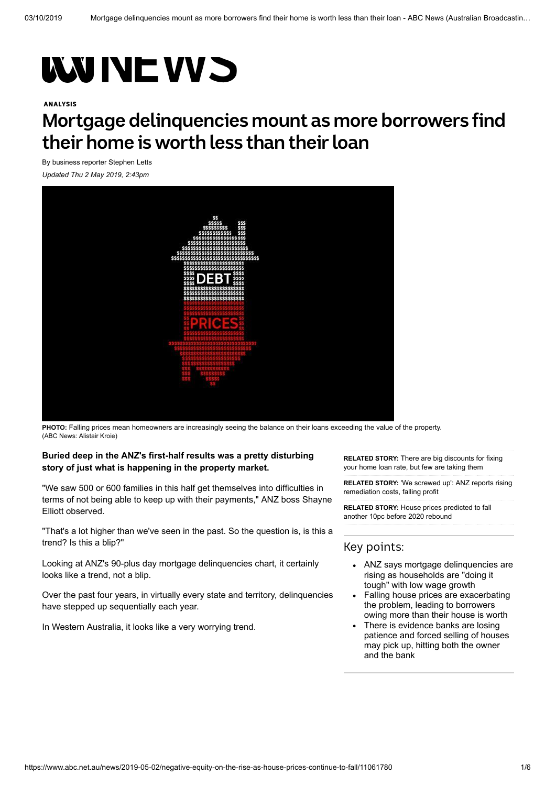# **WINE VV S**

#### ANALYSIS

# **Mortgage delinquencies mount as more borrowers find their home is worth less than their loan**

By business reporter [Stephen Letts](https://www.abc.net.au/news/stephen-letts/5639296)

*Updated Thu 2 May 2019, 2:43pm*



**PHOTO:** [Falling prices mean homeowners are increasingly seeing the balance on their loans exceeding the value of the property.](https://www.abc.net.au/news/2019-05-02/housing-v-debt-1/11064576) (ABC News: Alistair Kroie)

#### **Buried deep in the ANZ's first-half results was a pretty disturbing story of just what is happening in the property market.**

"We saw 500 or 600 families in this half get themselves into difficulties in terms of not being able to keep up with their payments," ANZ boss Shayne Elliott observed.

"That's a lot higher than we've seen in the past. So the question is, is this a trend? Is this a blip?"

Looking at ANZ's 90-plus day mortgage delinquencies chart, it certainly looks like a trend, not a blip.

Over the past four years, in virtually every state and territory, delinquencies have stepped up sequentially each year.

In Western Australia, it looks like a very worrying trend.

**RELATED STORY:** There are big discounts for fixing [your home loan rate, but few are taking them](https://www.abc.net.au/news/2019-04-24/lenders-cut-fixed-home-loan-rates-in-anticipation-of-rba-move/11037974)

**RELATED STORY:** ['We screwed up': ANZ reports rising](https://www.abc.net.au/news/2019-05-01/anz-first-half-result-2019/11059066) remediation costs, falling profit

**RELATED STORY:** House prices predicted to fall [another 10pc before 2020 rebound](https://www.abc.net.au/news/2019-04-09/home-loans-rebound-but-moodys-predict-further-price-falls/10984590)

### Key points:

- ANZ says mortgage delinquencies are rising as households are "doing it tough" with low wage growth
- Falling house prices are exacerbating the problem, leading to borrowers owing more than their house is worth
- There is evidence banks are losing patience and forced selling of houses may pick up, hitting both the owner and the bank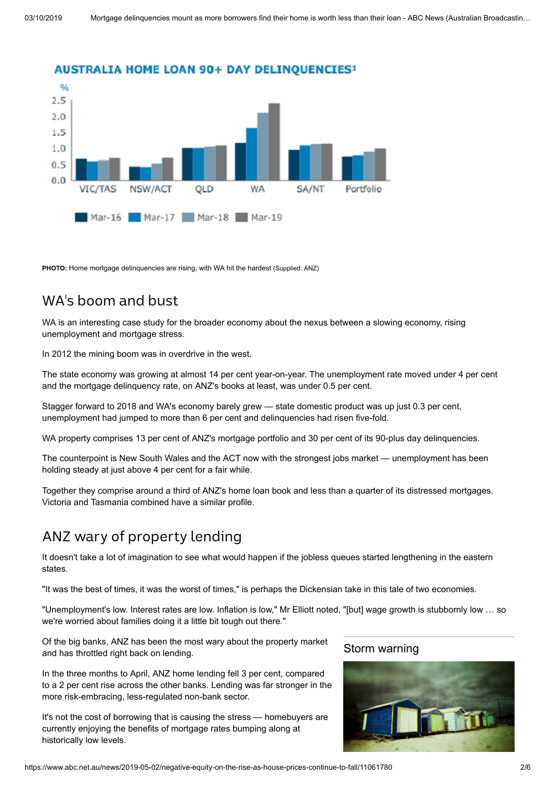

**PHOTO:** [Home mortgage delinquencies are rising, with WA hit the hardest](https://www.abc.net.au/news/2019-05-01/anz-90-day-mortgage-delinquencies-1/11061610) (Supplied: ANZ)

### WA's boom and bust

WA is an interesting case study for the broader economy about the nexus between a slowing economy, rising unemployment and mortgage stress.

In 2012 the mining boom was in overdrive in the west.

The state economy was growing at almost 14 per cent year-on-year. The unemployment rate moved under 4 per cent and the mortgage delinquency rate, on ANZ's books at least, was under 0.5 per cent.

Stagger forward to 2018 and WA's economy barely grew — state domestic product was up just 0.3 per cent, unemployment had jumped to more than 6 per cent and delinquencies had risen five-fold.

WA property comprises 13 per cent of ANZ's mortgage portfolio and 30 per cent of its 90-plus day delinquencies.

The counterpoint is New South Wales and the ACT now with the strongest jobs market — unemployment has been holding steady at just above 4 per cent for a fair while.

Together they comprise around a third of ANZ's home loan book and less than a quarter of its distressed mortgages. Victoria and Tasmania combined have a similar profile.

### ANZ wary of property lending

It doesn't take a lot of imagination to see what would happen if the jobless queues started lengthening in the eastern states.

"It was the best of times, it was the worst of times," is perhaps the Dickensian take in this tale of two economies.

"Unemployment's low. Interest rates are low. Inflation is low," Mr Elliott noted, "[but] wage growth is stubbornly low … so we're worried about families doing it a little bit tough out there."

Of the big banks, ANZ has been the most wary about the property market and has throttled right back on lending.

In the three months to April, ANZ home lending fell 3 per cent, compared to a 2 per cent rise across the other banks. Lending was far stronger in the more risk-embracing, less-regulated non-bank sector.

It's not the cost of borrowing that is causing the stress — homebuyers are currently enjoying the benefits of mortgage rates bumping along at historically low levels.

#### Storm [warning](https://www.abc.net.au/news/2019-04-12/federal-election-economic-challenges-mounting-for-the-victor/10992364)

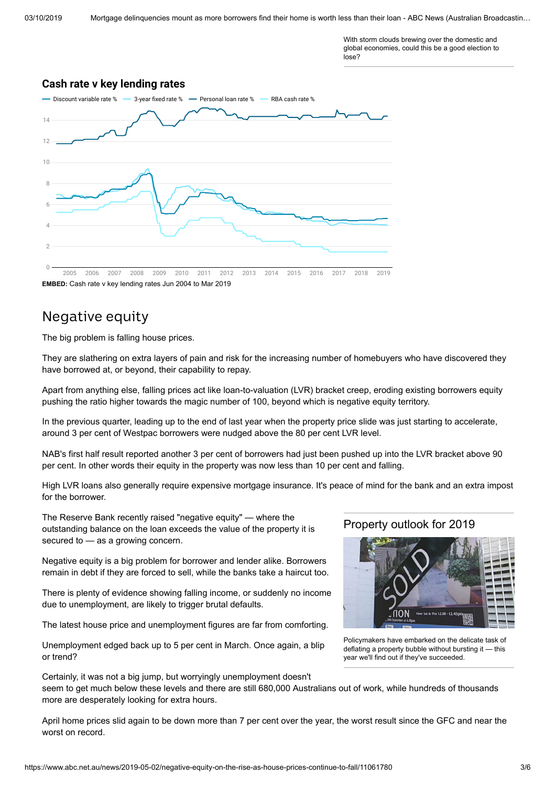With storm clouds brewing over the domestic and [global economies, could this be a good election to](https://www.abc.net.au/news/2019-04-12/federal-election-economic-challenges-mounting-for-the-victor/10992364) lose?

#### **Cash rate v key lending rates**



### Negative equity

The big problem is falling house prices.

They are slathering on extra layers of pain and risk for the increasing number of homebuyers who have discovered they have borrowed at, or beyond, their capability to repay.

Apart from anything else, falling prices act like loan-to-valuation (LVR) bracket creep, eroding existing borrowers equity pushing the ratio higher towards the magic number of 100, beyond which is negative equity territory.

In the previous quarter, leading up to the end of last year when the property price slide was just starting to accelerate, around 3 per cent of Westpac borrowers were nudged above the 80 per cent LVR level.

NAB's first half result reported another 3 per cent of borrowers had just been pushed up into the LVR bracket above 90 per cent. In other words their equity in the property was now less than 10 per cent and falling.

High LVR loans also generally require expensive mortgage insurance. It's peace of mind for the bank and an extra impost for the borrower.

The Reserve Bank recently raised "negative equity" — where the outstanding balance on the loan exceeds the value of the property it is secured to — [as a growing concern](https://www.abc.net.au/news/2019-04-12/rba-reserve-bank-negative-equity-falling-property-prices/10997044).

Negative equity is a big problem for borrower and lender alike. Borrowers remain in debt if they are forced to sell, while the banks take a haircut too.

There is plenty of evidence showing falling income, or suddenly no income due to unemployment, are likely to trigger brutal defaults.

The latest house price and unemployment figures are far from comforting.

[Unemployment edged back up to 5 per cent in March](https://www.abc.net.au/news/2019-04-18/employment-and-unemployment-march-2019/11028402). Once again, a blip or trend?

#### Certainly, it was not a big jump, but worryingly unemployment doesn't

[seem to get much below these levels and there are still 680,000 Australians out of work, while hundreds of thousands](https://www.abc.net.au/news/2019-05-02/underemployment-in-australia-rising-while-unemployed-rate-drops/11057794) more are desperately looking for extra hours.

[April home prices slid again](https://www.abc.net.au/news/2019-05-01/house-price-falls-slow-in-sydney-and-melbourne/11061356) to be down more than 7 per cent over the year, the worst result since the GFC and near the worst on record.

#### [Property](https://www.abc.net.au/news/2019-01-07/what-lies-ahead-for-the-property-market-this-year/10687188) outlook for 2019



[Policymakers have embarked on the delicate task of](https://www.abc.net.au/news/2019-01-07/what-lies-ahead-for-the-property-market-this-year/10687188) deflating a property bubble without bursting it — this year we'll find out if they've succeeded.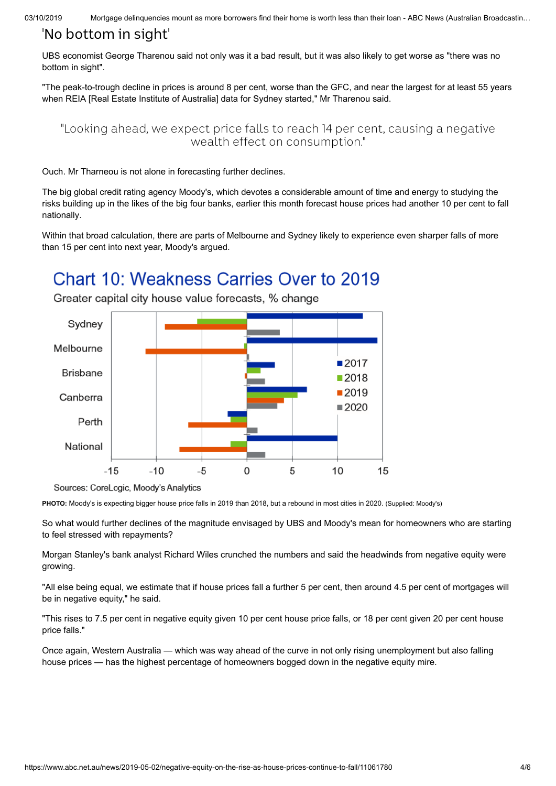03/10/2019 Mortgage delinguencies mount as more borrowers find their home is worth less than their loan - ABC News (Australian Broadcastin...

### 'No bottom in sight'

UBS economist George Tharenou said not only was it a bad result, but it was also likely to get worse as "there was no bottom in sight".

"The peak-to-trough decline in prices is around 8 per cent, worse than the GFC, and near the largest for at least 55 years when REIA [Real Estate Institute of Australia] data for Sydney started," Mr Tharenou said.

"Looking ahead, we expect price falls to reach 14 per cent, causing a negative wealth effect on consumption."

Ouch. Mr Tharneou is not alone in forecasting further declines.

The big global credit rating agency Moody's, which devotes a considerable amount of time and energy to studying the [risks building up in the likes of the big four banks, earlier this month forecast house prices had another 10 per cent to fall](https://www.abc.net.au/news/2019-04-09/home-loans-rebound-but-moodys-predict-further-price-falls/10984590) nationally.

Within that broad calculation, there are parts of Melbourne and Sydney likely to experience even sharper falls of more than 15 per cent into next year, Moody's argued.

## Chart 10: Weakness Carries Over to 2019



Greater capital city house value forecasts, % change

**PHOTO:** [Moody's is expecting bigger house price falls in 2019 than 2018, but a rebound in most cities in 2020.](https://www.abc.net.au/news/2019-04-09/home-value-movements-and-forecasts/10985368) (Supplied: Moody's)

So what would further declines of the magnitude envisaged by UBS and Moody's mean for homeowners who are starting to feel stressed with repayments?

Morgan Stanley's bank analyst Richard Wiles crunched the numbers and said the headwinds from negative equity were growing.

"All else being equal, we estimate that if house prices fall a further 5 per cent, then around 4.5 per cent of mortgages will be in negative equity," he said.

"This rises to 7.5 per cent in negative equity given 10 per cent house price falls, or 18 per cent given 20 per cent house price falls."

Once again, Western Australia — which was way ahead of the curve in not only rising unemployment but also falling house prices — has the highest percentage of homeowners bogged down in the negative equity mire.

Sources: CoreLogic, Moody's Analytics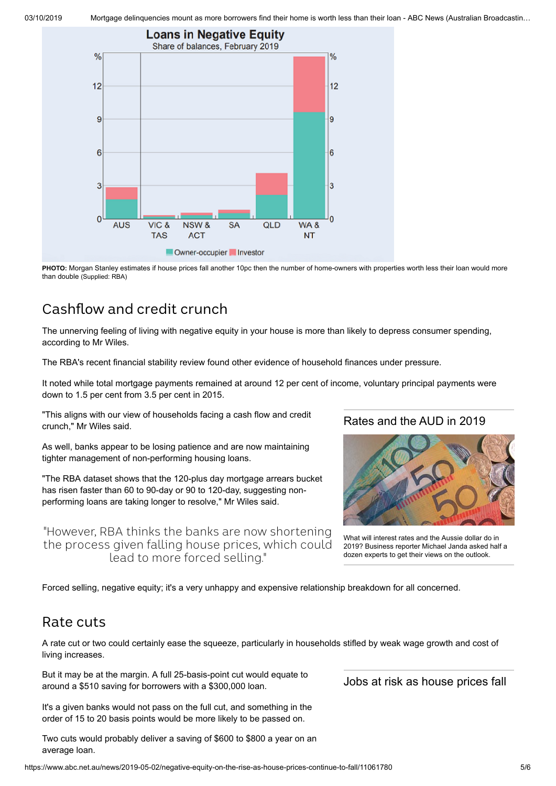03/10/2019 Mortgage delinguencies mount as more borrowers find their home is worth less than their loan - ABC News (Australian Broadcastin...



**PHOTO:** [Morgan Stanley estimates if house prices fall another 10pc then the number of home-owners with properties worth less their loan would more](https://www.abc.net.au/news/2019-05-01/negative-equity-1/11064642) than double (Supplied: RBA)

### Cashflow and credit crunch

The unnerving feeling of living with negative equity in your house is more than likely to depress consumer spending, according to Mr Wiles.

The RBA's recent financial stability review found other evidence of household finances under pressure.

It noted while total mortgage payments remained at around 12 per cent of income, voluntary principal payments were down to 1.5 per cent from 3.5 per cent in 2015.

"This aligns with our view of households facing a cash flow and credit crunch," Mr Wiles said.

As well, banks appear to be losing patience and are now maintaining tighter management of non-performing housing loans.

"The RBA dataset shows that the 120-plus day mortgage arrears bucket has risen faster than 60 to 90-day or 90 to 120-day, suggesting nonperforming loans are taking longer to resolve," Mr Wiles said.

"However, RBA thinks the banks are now shortening the process given falling house prices, which could lead to more forced selling."

### [Rates](https://www.abc.net.au/news/2019-01-07/interest-rate-dollar-outlook-2019/10646310) and the AUD in 2019



What will interest rates and the Aussie dollar do in [2019? Business reporter Michael Janda asked half a](https://www.abc.net.au/news/2019-01-07/interest-rate-dollar-outlook-2019/10646310) dozen experts to get their views on the outlook.

Forced selling, negative equity; it's a very unhappy and expensive relationship breakdown for all concerned.

### Rate cuts

A rate cut or two could certainly ease the squeeze, particularly in households stifled by weak wage growth and cost of living increases.

But it may be at the margin. A full 25-basis-point cut would equate to around a \$510 saving for borrowers with a \$300,000 loan.

It's a given banks would not pass on the full cut, and something in the order of 15 to 20 basis points would be more likely to be passed on.

Two cuts would probably deliver a saving of \$600 to \$800 a year on an average loan.

https://www.abc.net.au/news/2019-05-02/negative-equity-on-the-rise-as-house-prices-continue-to-fall/11061780 5/6

Jobs at risk as [house](https://www.abc.net.au/news/2019-01-22/the-jobs-most-likely-to-take-a-hit-in-2019-as-house-prices-fall/10736286) prices fall